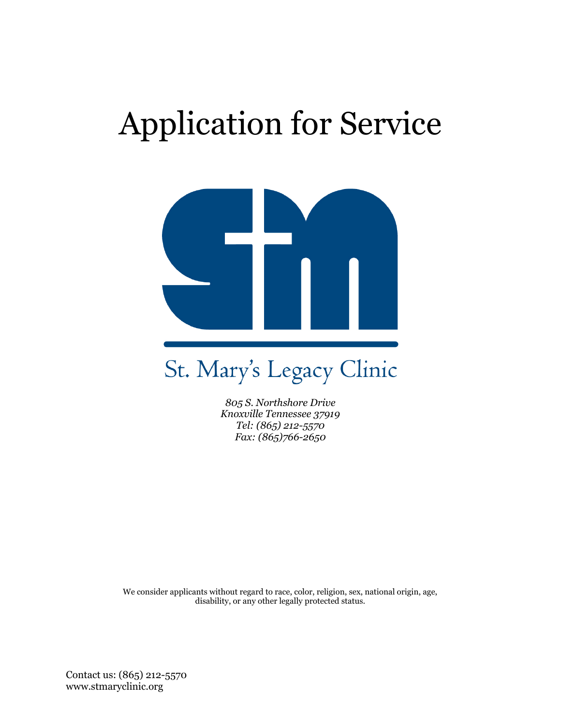# Application for Service



# St. Mary's Legacy Clinic

*805 S. Northshore Drive Knoxville Tennessee 37919 Tel: (865) 212-5570 Fax: (865)766-2650*

We consider applicants without regard to race, color, religion, sex, national origin, age, disability, or any other legally protected status.

Contact us: (865) 212-5570 www.stmaryclinic.org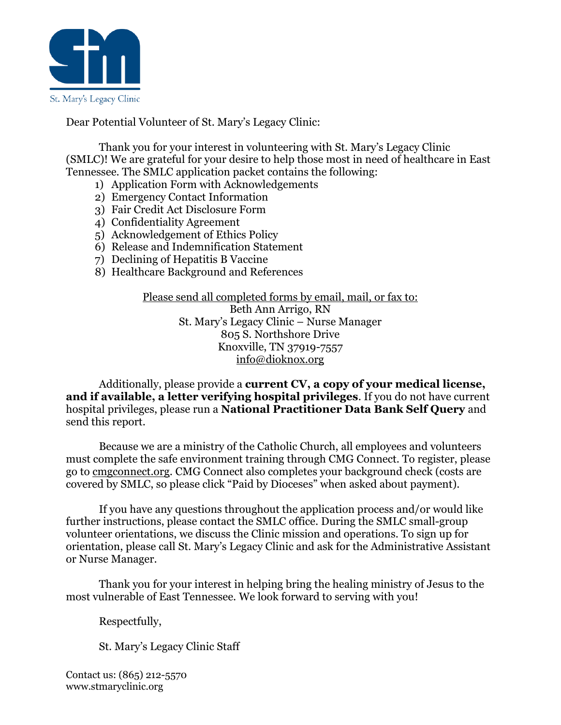

Dear Potential Volunteer of St. Mary's Legacy Clinic:

Thank you for your interest in volunteering with St. Mary's Legacy Clinic (SMLC)! We are grateful for your desire to help those most in need of healthcare in East Tennessee. The SMLC application packet contains the following:

- 1) Application Form with Acknowledgements
- 2) Emergency Contact Information
- 3) Fair Credit Act Disclosure Form
- 4) Confidentiality Agreement
- 5) Acknowledgement of Ethics Policy
- 6) Release and Indemnification Statement
- 7) Declining of Hepatitis B Vaccine
- 8) Healthcare Background and References

Please send all completed forms by email, mail, or fax to: Beth Ann Arrigo, RN St. Mary's Legacy Clinic – Nurse Manager 805 S. Northshore Drive Knoxville, TN 37919-7557 [info@dioknox.org](mailto:info@dioknox.org)

Additionally, please provide a **current CV, a copy of your medical license, and if available, a letter verifying hospital privileges**. If you do not have current hospital privileges, please run a **National Practitioner Data Bank Self Query** and send this report.

Because we are a ministry of the Catholic Church, all employees and volunteers must complete the safe environment training through CMG Connect. To register, please go to cmgconnect.org. CMG Connect also completes your background check (costs are covered by SMLC, so please click "Paid by Dioceses" when asked about payment).

If you have any questions throughout the application process and/or would like further instructions, please contact the SMLC office. During the SMLC small-group volunteer orientations, we discuss the Clinic mission and operations. To sign up for orientation, please call St. Mary's Legacy Clinic and ask for the Administrative Assistant or Nurse Manager.

Thank you for your interest in helping bring the healing ministry of Jesus to the most vulnerable of East Tennessee. We look forward to serving with you!

Respectfully,

St. Mary's Legacy Clinic Staff

Contact us: (865) 212-5570 www.stmaryclinic.org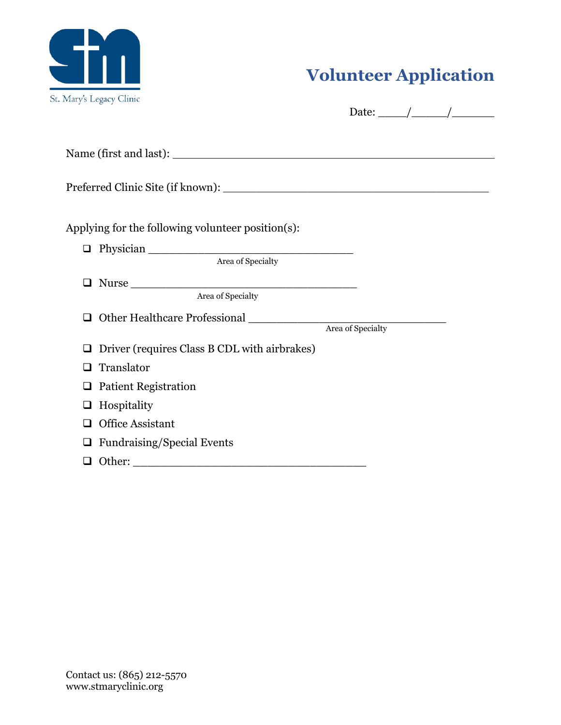

# **Volunteer Application**

| Applying for the following volunteer position(s):                                                                                                                                                                                                                                                                                                                                                                                                                                                                                                          |                   |
|------------------------------------------------------------------------------------------------------------------------------------------------------------------------------------------------------------------------------------------------------------------------------------------------------------------------------------------------------------------------------------------------------------------------------------------------------------------------------------------------------------------------------------------------------------|-------------------|
| $\begin{tabular}{ll} \textbf{D} \quad \text{Physical} \quad \textcolor{red}{\textbf{D}} \quad \textcolor{red}{\textbf{D}} \quad \textcolor{red}{\textbf{D}} \quad \textcolor{red}{\textbf{D}} \quad \textcolor{red}{\textbf{D}} \quad \textcolor{red}{\textbf{D}} \quad \textcolor{red}{\textbf{D}} \quad \textcolor{red}{\textbf{D}} \quad \textcolor{red}{\textbf{D}} \quad \textcolor{red}{\textbf{D}} \quad \textcolor{red}{\textbf{D}} \quad \textcolor{red}{\textbf{D}} \quad \textcolor{red}{\textbf{D}} \quad \textcolor{red}{\textbf{D}} \quad \$ | Area of Specialty |
| Nurse<br>❏<br>Area of Specialty                                                                                                                                                                                                                                                                                                                                                                                                                                                                                                                            |                   |
|                                                                                                                                                                                                                                                                                                                                                                                                                                                                                                                                                            |                   |
| Driver (requires Class B CDL with airbrakes)<br>⊔                                                                                                                                                                                                                                                                                                                                                                                                                                                                                                          |                   |
| Translator<br>❏                                                                                                                                                                                                                                                                                                                                                                                                                                                                                                                                            |                   |
| <b>Patient Registration</b><br>❏                                                                                                                                                                                                                                                                                                                                                                                                                                                                                                                           |                   |
| Hospitality<br>❏                                                                                                                                                                                                                                                                                                                                                                                                                                                                                                                                           |                   |
| <b>Office Assistant</b><br>□                                                                                                                                                                                                                                                                                                                                                                                                                                                                                                                               |                   |
| <b>Fundraising/Special Events</b><br>$\Box$                                                                                                                                                                                                                                                                                                                                                                                                                                                                                                                |                   |
| $\Box$                                                                                                                                                                                                                                                                                                                                                                                                                                                                                                                                                     |                   |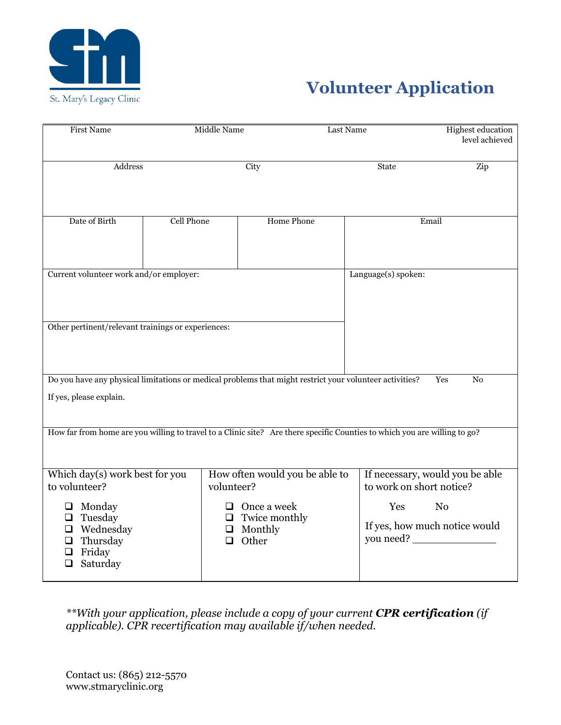

# **Volunteer Application**

| <b>First Name</b>                                                                                                                  | <b>Middle Name</b>                                                           | Last Name         |                                                             | <b>Highest education</b><br>level achieved |
|------------------------------------------------------------------------------------------------------------------------------------|------------------------------------------------------------------------------|-------------------|-------------------------------------------------------------|--------------------------------------------|
| Address                                                                                                                            | City                                                                         |                   | State                                                       | Zip                                        |
| Date of Birth                                                                                                                      | <b>Cell Phone</b>                                                            | <b>Home Phone</b> | Email                                                       |                                            |
| Current volunteer work and/or employer:                                                                                            |                                                                              |                   | Language(s) spoken:                                         |                                            |
| Other pertinent/relevant trainings or experiences:                                                                                 |                                                                              |                   |                                                             |                                            |
| Do you have any physical limitations or medical problems that might restrict your volunteer activities?<br>If yes, please explain. |                                                                              |                   |                                                             | Yes<br>N <sub>0</sub>                      |
| How far from home are you willing to travel to a Clinic site? Are there specific Counties to which you are willing to go?          |                                                                              |                   |                                                             |                                            |
| Which day(s) work best for you<br>to volunteer?                                                                                    | How often would you be able to<br>volunteer?                                 |                   | If necessary, would you be able<br>to work on short notice? |                                            |
| Monday<br>⊔<br>Tuesday<br>$\Box$<br>Wednesday<br>❏<br>Thursday<br>⊔<br>Friday<br>Saturday                                          | $\Box$ Once a week<br>$\Box$ Twice monthly<br>$\Box$ Monthly<br>$\Box$ Other |                   | Yes<br>If yes, how much notice would<br>you need? _         | N <sub>0</sub>                             |

*\*\*With your application, please include a copy of your current CPR certification (if applicable). CPR recertification may available if/when needed.*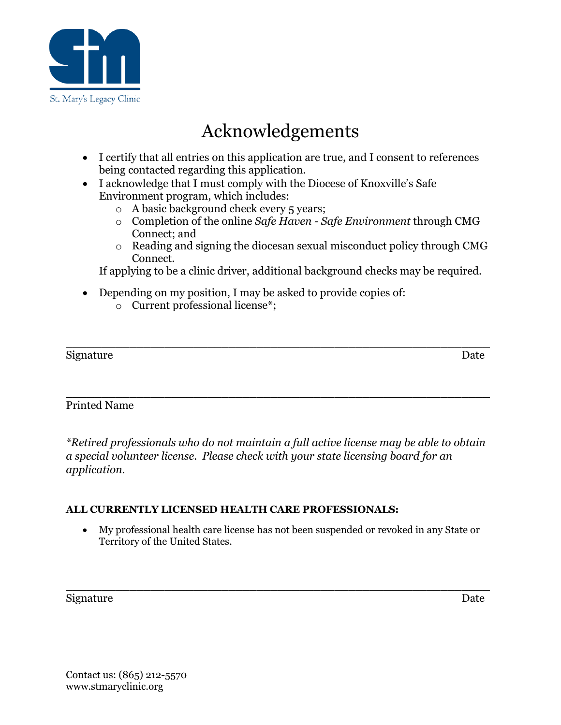

# Acknowledgements

- I certify that all entries on this application are true, and I consent to references being contacted regarding this application.
- I acknowledge that I must comply with the Diocese of Knoxville's Safe Environment program, which includes:
	- o A basic background check every 5 years;
	- o Completion of the online *Safe Haven - Safe Environment* through CMG Connect; and
	- o Reading and signing the diocesan sexual misconduct policy through CMG Connect.

If applying to be a clinic driver, additional background checks may be required.

- Depending on my position, I may be asked to provide copies of:
	- o Current professional license\*;

\_\_\_\_\_\_\_\_\_\_\_\_\_\_\_\_\_\_\_\_\_\_\_\_\_\_\_\_\_\_\_\_\_\_\_\_\_\_\_\_\_\_\_\_\_\_\_\_\_\_\_\_\_\_\_\_\_\_\_\_ Signature Date

### Printed Name

*\*Retired professionals who do not maintain a full active license may be able to obtain a special volunteer license. Please check with your state licensing board for an application.* 

\_\_\_\_\_\_\_\_\_\_\_\_\_\_\_\_\_\_\_\_\_\_\_\_\_\_\_\_\_\_\_\_\_\_\_\_\_\_\_\_\_\_\_\_\_\_\_\_\_\_\_\_\_\_\_\_\_\_\_\_

#### **ALL CURRENTLY LICENSED HEALTH CARE PROFESSIONALS:**

• My professional health care license has not been suspended or revoked in any State or Territory of the United States.

\_\_\_\_\_\_\_\_\_\_\_\_\_\_\_\_\_\_\_\_\_\_\_\_\_\_\_\_\_\_\_\_\_\_\_\_\_\_\_\_\_\_\_\_\_\_\_\_\_\_\_\_\_\_\_\_\_\_\_\_

#### Signature Date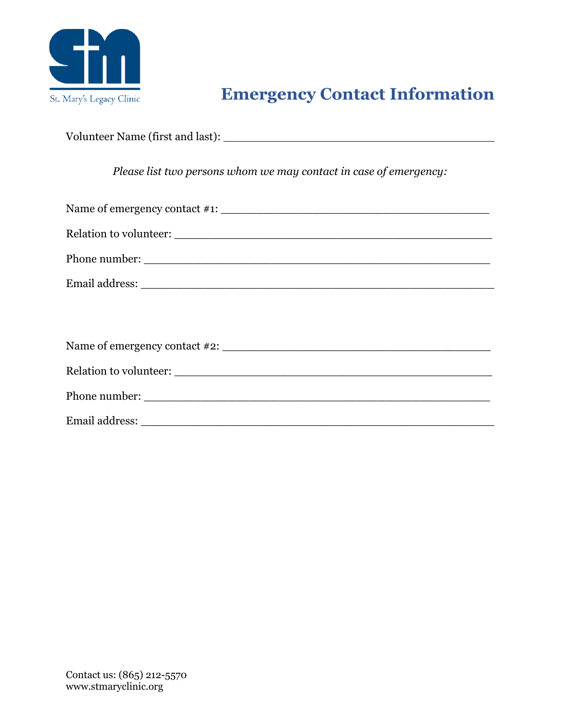

## **Emergency Contact Information**

Volunteer Name (first and last):

*Please list two persons whom we may contact in case of emergency:*

| Relation to volunteer: |
|------------------------|
|                        |
|                        |
|                        |
|                        |
|                        |
|                        |
|                        |

Email address: \_\_\_\_\_\_\_\_\_\_\_\_\_\_\_\_\_\_\_\_\_\_\_\_\_\_\_\_\_\_\_\_\_\_\_\_\_\_\_\_\_\_\_\_\_\_\_\_\_\_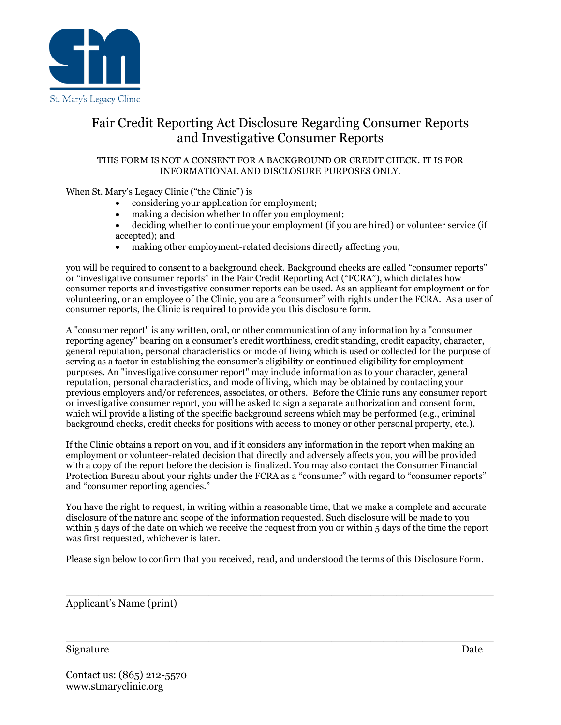

## Fair Credit Reporting Act Disclosure Regarding Consumer Reports and Investigative Consumer Reports

#### THIS FORM IS NOT A CONSENT FOR A BACKGROUND OR CREDIT CHECK. IT IS FOR INFORMATIONAL AND DISCLOSURE PURPOSES ONLY.

When St. Mary's Legacy Clinic ("the Clinic") is

- considering your application for employment;
- making a decision whether to offer you employment;
- deciding whether to continue your employment (if you are hired) or volunteer service (if accepted); and
- making other employment-related decisions directly affecting you,

you will be required to consent to a background check. Background checks are called "consumer reports" or "investigative consumer reports" in the Fair Credit Reporting Act ("FCRA"), which dictates how consumer reports and investigative consumer reports can be used. As an applicant for employment or for volunteering, or an employee of the Clinic, you are a "consumer" with rights under the FCRA. As a user of consumer reports, the Clinic is required to provide you this disclosure form.

A "consumer report" is any written, oral, or other communication of any information by a "consumer reporting agency" bearing on a consumer's credit worthiness, credit standing, credit capacity, character, general reputation, personal characteristics or mode of living which is used or collected for the purpose of serving as a factor in establishing the consumer's eligibility or continued eligibility for employment purposes. An "investigative consumer report" may include information as to your character, general reputation, personal characteristics, and mode of living, which may be obtained by contacting your previous employers and/or references, associates, or others. Before the Clinic runs any consumer report or investigative consumer report, you will be asked to sign a separate authorization and consent form, which will provide a listing of the specific background screens which may be performed (e.g., criminal background checks, credit checks for positions with access to money or other personal property, etc.).

If the Clinic obtains a report on you, and if it considers any information in the report when making an employment or volunteer-related decision that directly and adversely affects you, you will be provided with a copy of the report before the decision is finalized. You may also contact the Consumer Financial Protection Bureau about your rights under the FCRA as a "consumer" with regard to "consumer reports" and "consumer reporting agencies."

You have the right to request, in writing within a reasonable time, that we make a complete and accurate disclosure of the nature and scope of the information requested. Such disclosure will be made to you within 5 days of the date on which we receive the request from you or within 5 days of the time the report was first requested, whichever is later.

Please sign below to confirm that you received, read, and understood the terms of this Disclosure Form.

 $\_$  , and the set of the set of the set of the set of the set of the set of the set of the set of the set of the set of the set of the set of the set of the set of the set of the set of the set of the set of the set of th

 $\_$  , and the set of the set of the set of the set of the set of the set of the set of the set of the set of the set of the set of the set of the set of the set of the set of the set of the set of the set of the set of th

Applicant's Name (print)

Signature Date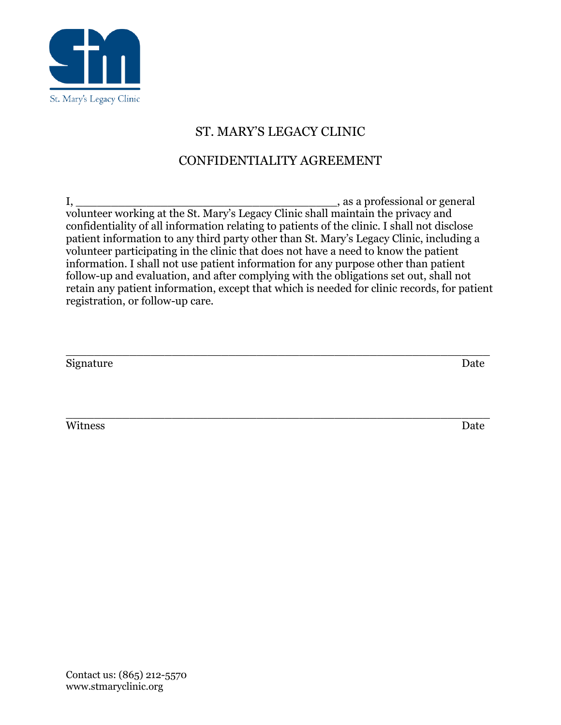

## ST. MARY'S LEGACY CLINIC

## CONFIDENTIALITY AGREEMENT

I, \_\_\_\_\_\_\_\_\_\_\_\_\_\_\_\_\_\_\_\_\_\_\_\_\_\_\_\_\_\_\_\_\_\_\_\_\_, as a professional or general volunteer working at the St. Mary's Legacy Clinic shall maintain the privacy and confidentiality of all information relating to patients of the clinic. I shall not disclose patient information to any third party other than St. Mary's Legacy Clinic, including a volunteer participating in the clinic that does not have a need to know the patient information. I shall not use patient information for any purpose other than patient follow-up and evaluation, and after complying with the obligations set out, shall not retain any patient information, except that which is needed for clinic records, for patient registration, or follow-up care.

| Signature | Date |
|-----------|------|
|           |      |
|           |      |

Witness Date

\_\_\_\_\_\_\_\_\_\_\_\_\_\_\_\_\_\_\_\_\_\_\_\_\_\_\_\_\_\_\_\_\_\_\_\_\_\_\_\_\_\_\_\_\_\_\_\_\_\_\_\_\_\_\_\_\_\_\_\_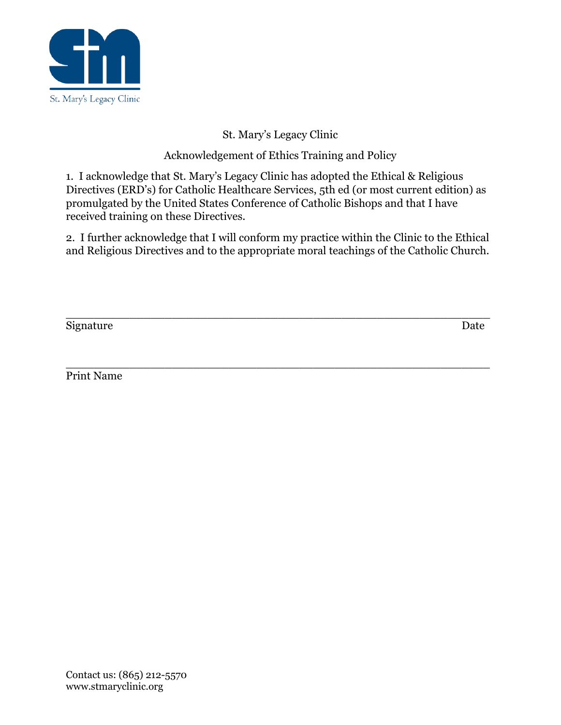

St. Mary's Legacy Clinic

Acknowledgement of Ethics Training and Policy

1. I acknowledge that St. Mary's Legacy Clinic has adopted the Ethical & Religious Directives (ERD's) for Catholic Healthcare Services, 5th ed (or most current edition) as promulgated by the United States Conference of Catholic Bishops and that I have received training on these Directives.

2. I further acknowledge that I will conform my practice within the Clinic to the Ethical and Religious Directives and to the appropriate moral teachings of the Catholic Church.

\_\_\_\_\_\_\_\_\_\_\_\_\_\_\_\_\_\_\_\_\_\_\_\_\_\_\_\_\_\_\_\_\_\_\_\_\_\_\_\_\_\_\_\_\_\_\_\_\_\_\_\_\_\_\_\_\_\_\_\_

Signature Date

\_\_\_\_\_\_\_\_\_\_\_\_\_\_\_\_\_\_\_\_\_\_\_\_\_\_\_\_\_\_\_\_\_\_\_\_\_\_\_\_\_\_\_\_\_\_\_\_\_\_\_\_\_\_\_\_\_\_\_\_ Print Name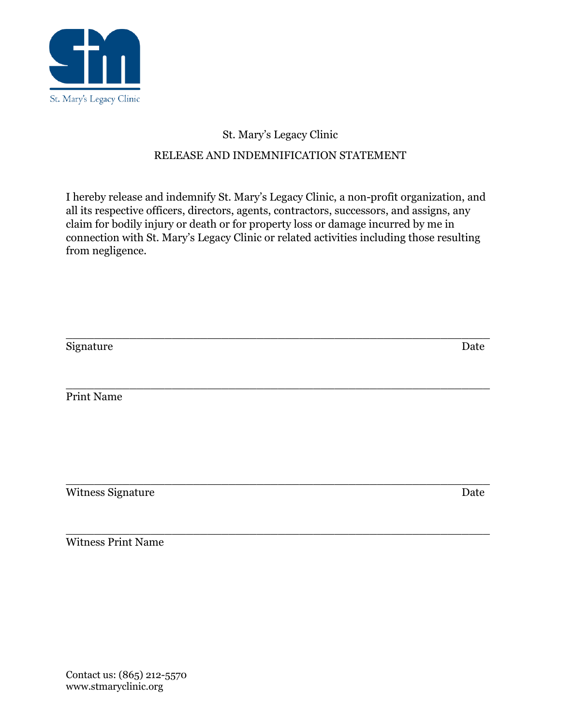

## St. Mary's Legacy Clinic

## RELEASE AND INDEMNIFICATION STATEMENT

I hereby release and indemnify St. Mary's Legacy Clinic, a non-profit organization, and all its respective officers, directors, agents, contractors, successors, and assigns, any claim for bodily injury or death or for property loss or damage incurred by me in connection with St. Mary's Legacy Clinic or related activities including those resulting from negligence.

| Signature         | Date |
|-------------------|------|
|                   |      |
| Print Name        |      |
|                   |      |
|                   |      |
|                   |      |
| Witness Signature | Date |

\_\_\_\_\_\_\_\_\_\_\_\_\_\_\_\_\_\_\_\_\_\_\_\_\_\_\_\_\_\_\_\_\_\_\_\_\_\_\_\_\_\_\_\_\_\_\_\_\_\_\_\_\_\_\_\_\_\_\_\_

\_\_\_\_\_\_\_\_\_\_\_\_\_\_\_\_\_\_\_\_\_\_\_\_\_\_\_\_\_\_\_\_\_\_\_\_\_\_\_\_\_\_\_\_\_\_\_\_\_\_\_\_\_\_\_\_\_\_\_\_ Witness Print Name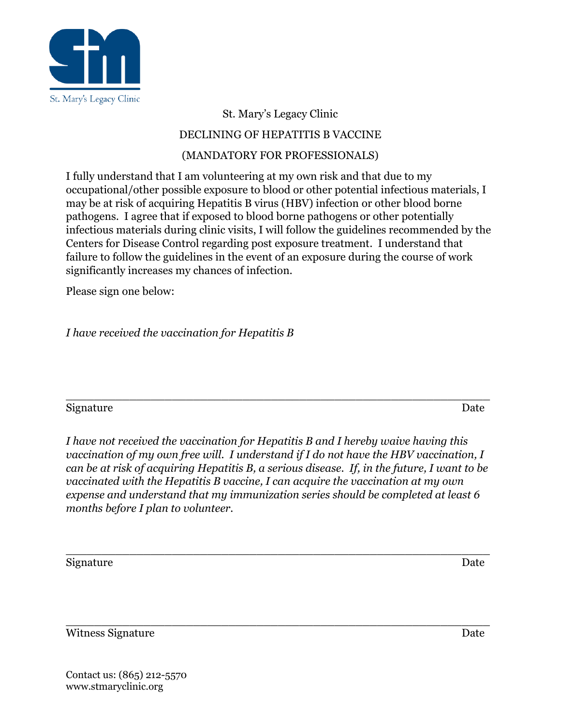

St. Mary's Legacy Clinic

## DECLINING OF HEPATITIS B VACCINE

## (MANDATORY FOR PROFESSIONALS)

I fully understand that I am volunteering at my own risk and that due to my occupational/other possible exposure to blood or other potential infectious materials, I may be at risk of acquiring Hepatitis B virus (HBV) infection or other blood borne pathogens. I agree that if exposed to blood borne pathogens or other potentially infectious materials during clinic visits, I will follow the guidelines recommended by the Centers for Disease Control regarding post exposure treatment. I understand that failure to follow the guidelines in the event of an exposure during the course of work significantly increases my chances of infection.

Please sign one below:

*I have received the vaccination for Hepatitis B*

#### \_\_\_\_\_\_\_\_\_\_\_\_\_\_\_\_\_\_\_\_\_\_\_\_\_\_\_\_\_\_\_\_\_\_\_\_\_\_\_\_\_\_\_\_\_\_\_\_\_\_\_\_\_\_\_\_\_\_\_\_ Signature Date

*I have not received the vaccination for Hepatitis B and I hereby waive having this vaccination of my own free will. I understand if I do not have the HBV vaccination, I can be at risk of acquiring Hepatitis B, a serious disease. If, in the future, I want to be vaccinated with the Hepatitis B vaccine, I can acquire the vaccination at my own expense and understand that my immunization series should be completed at least 6 months before I plan to volunteer.*

\_\_\_\_\_\_\_\_\_\_\_\_\_\_\_\_\_\_\_\_\_\_\_\_\_\_\_\_\_\_\_\_\_\_\_\_\_\_\_\_\_\_\_\_\_\_\_\_\_\_\_\_\_\_\_\_\_\_\_\_

\_\_\_\_\_\_\_\_\_\_\_\_\_\_\_\_\_\_\_\_\_\_\_\_\_\_\_\_\_\_\_\_\_\_\_\_\_\_\_\_\_\_\_\_\_\_\_\_\_\_\_\_\_\_\_\_\_\_\_\_ Signature Date

Witness Signature Date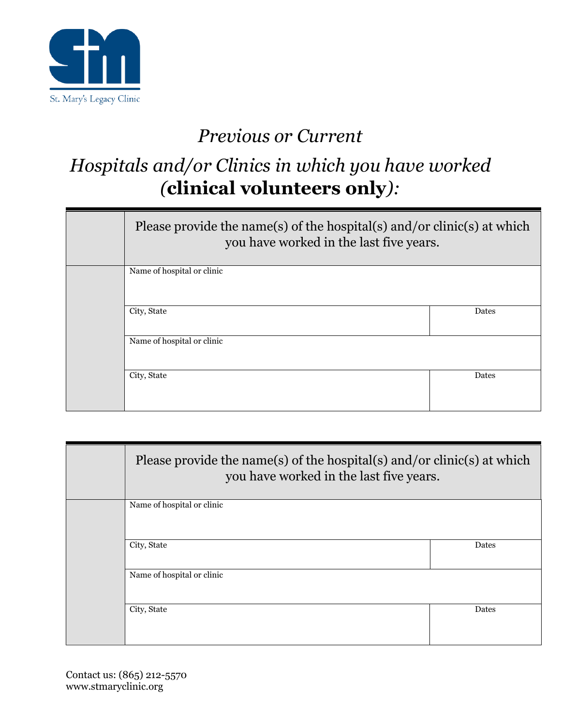

# *Previous or Current*

# *Hospitals and/or Clinics in which you have worked (***clinical volunteers only***):*

| Please provide the name(s) of the hospital(s) and/or clinic(s) at which<br>you have worked in the last five years. |       |
|--------------------------------------------------------------------------------------------------------------------|-------|
| Name of hospital or clinic                                                                                         |       |
| City, State                                                                                                        | Dates |
| Name of hospital or clinic                                                                                         |       |
| City, State                                                                                                        | Dates |

| Please provide the name(s) of the hospital(s) and/or clinic(s) at which<br>you have worked in the last five years. |       |  |
|--------------------------------------------------------------------------------------------------------------------|-------|--|
| Name of hospital or clinic                                                                                         |       |  |
| City, State                                                                                                        | Dates |  |
| Name of hospital or clinic                                                                                         |       |  |
| City, State                                                                                                        | Dates |  |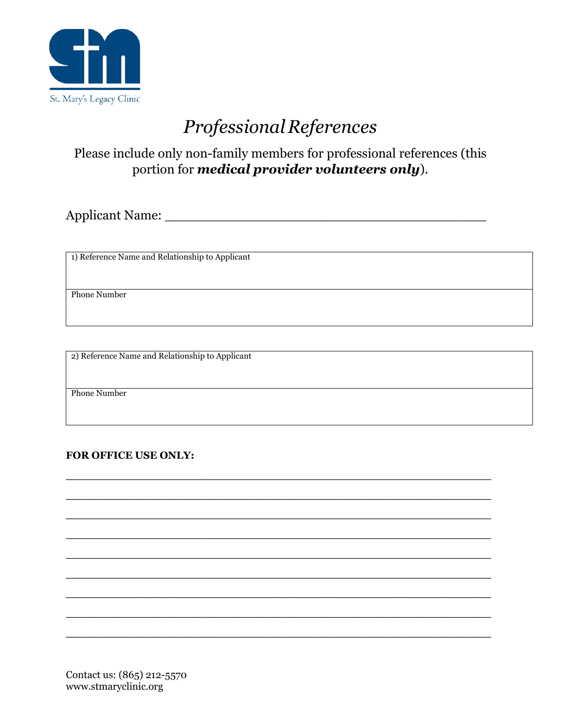

# *ProfessionalReferences*

## Please include only non-family members for professional references (this portion for *medical provider volunteers only*).

**\_\_\_\_\_\_\_\_\_\_\_\_\_\_\_\_\_\_\_\_\_\_\_\_\_\_\_\_\_\_\_\_\_\_\_\_\_\_\_\_\_\_\_\_\_\_\_\_\_\_\_\_\_\_\_\_\_\_\_\_**

**\_\_\_\_\_\_\_\_\_\_\_\_\_\_\_\_\_\_\_\_\_\_\_\_\_\_\_\_\_\_\_\_\_\_\_\_\_\_\_\_\_\_\_\_\_\_\_\_\_\_\_\_\_\_\_\_\_\_\_\_**

**\_\_\_\_\_\_\_\_\_\_\_\_\_\_\_\_\_\_\_\_\_\_\_\_\_\_\_\_\_\_\_\_\_\_\_\_\_\_\_\_\_\_\_\_\_\_\_\_\_\_\_\_\_\_\_\_\_\_\_\_**

**\_\_\_\_\_\_\_\_\_\_\_\_\_\_\_\_\_\_\_\_\_\_\_\_\_\_\_\_\_\_\_\_\_\_\_\_\_\_\_\_\_\_\_\_\_\_\_\_\_\_\_\_\_\_\_\_\_\_\_\_**

**\_\_\_\_\_\_\_\_\_\_\_\_\_\_\_\_\_\_\_\_\_\_\_\_\_\_\_\_\_\_\_\_\_\_\_\_\_\_\_\_\_\_\_\_\_\_\_\_\_\_\_\_\_\_\_\_\_\_\_\_**

**\_\_\_\_\_\_\_\_\_\_\_\_\_\_\_\_\_\_\_\_\_\_\_\_\_\_\_\_\_\_\_\_\_\_\_\_\_\_\_\_\_\_\_\_\_\_\_\_\_\_\_\_\_\_\_\_\_\_\_\_**

**\_\_\_\_\_\_\_\_\_\_\_\_\_\_\_\_\_\_\_\_\_\_\_\_\_\_\_\_\_\_\_\_\_\_\_\_\_\_\_\_\_\_\_\_\_\_\_\_\_\_\_\_\_\_\_\_\_\_\_\_**

**\_\_\_\_\_\_\_\_\_\_\_\_\_\_\_\_\_\_\_\_\_\_\_\_\_\_\_\_\_\_\_\_\_\_\_\_\_\_\_\_\_\_\_\_\_\_\_\_\_\_\_\_\_\_\_\_\_\_\_\_**

**\_\_\_\_\_\_\_\_\_\_\_\_\_\_\_\_\_\_\_\_\_\_\_\_\_\_\_\_\_\_\_\_\_\_\_\_\_\_\_\_\_\_\_\_\_\_\_\_\_\_\_\_\_\_\_\_\_\_\_\_**

Applicant Name: \_\_\_\_\_\_\_\_\_\_\_\_\_\_\_\_\_\_\_\_\_\_\_\_\_\_\_\_\_\_\_\_\_\_\_\_\_\_\_

1) Reference Name and Relationship to Applicant

Phone Number

2) Reference Name and Relationship to Applicant

Phone Number

#### **FOR OFFICE USE ONLY:**

Contact us: (865) 212-5570 www.stmaryclinic.org